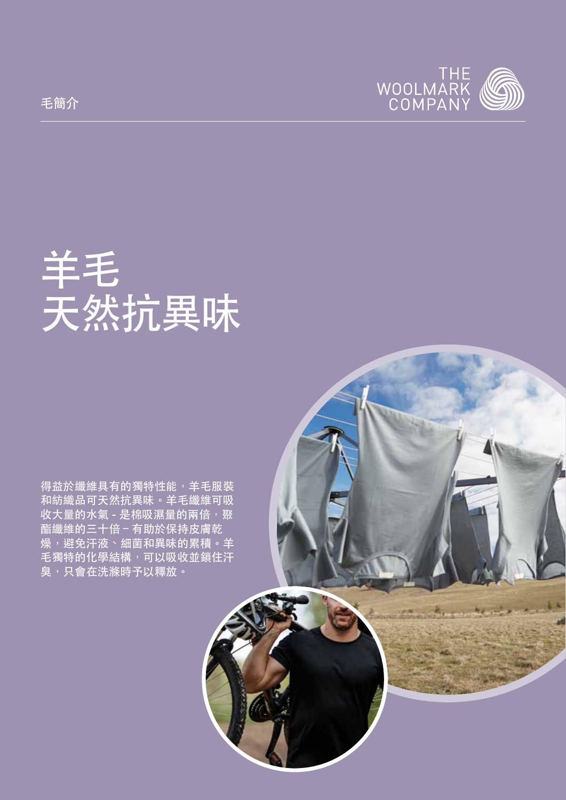

# 羊毛 天然抗異味

得益於纖維具有的獨特性能,羊毛服裝 和紡織品可天然抗異味。羊毛纖維可吸 收大量的水氣 - 是棉吸濕量的兩倍, 聚 酯纖維的三十倍 – 有助於保持皮膚乾 燥,避免汗液、細菌和異味的累積。羊 毛獨特的化學結構,可以吸收並鎖住汗 臭,只會在洗滌時予以釋放。



毛簡介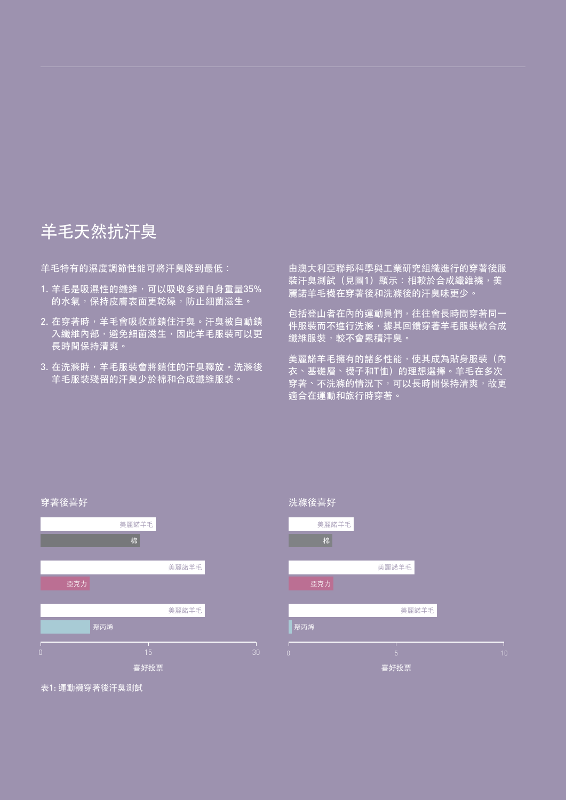## 羊毛天然抗汗臭

羊毛特有的濕度調節性能可將汗臭降到最低:

- 1. 羊毛是吸濕性的纖維,可以吸收多達自身重量35% 的水氣,保持皮膚表面更乾燥,防止細菌滋生。
- 2. 在穿著時,羊毛會吸收並鎖住汗臭。汗臭被自動鎖 入纖維內部,避免細菌滋生,因此羊毛服裝可以更 長時間保持清爽。
- 3. 在洗滌時,羊毛服裝會將鎖住的汗臭釋放。洗滌後 羊毛服裝殘留的汗臭少於棉和合成纖維服裝。

由澳大利亞聯邦科學與工業研究組織進行的穿著後服 装汗臭測試(見圖1)顯示:相較於合成纖維襪, 美 麗諾羊毛襪在穿著後和洗滌後的汗臭味更少。

包括登山者在內的運動員們,往往會長時間穿著同一 件服裝而不進行洗滌,據其回饋穿著羊毛服裝較合成 纖維服裝,較不會累積汗臭。

美麗諾羊毛擁有的諸多性能,使其成為貼身服裝(內 衣、基礎層、襪子和T恤)的理想選擇。羊毛在多次 穿著、不洗滌的情況下,可以長時間保持清爽,故更 適合在運動和旅行時穿著。





表1: 運動襪穿著後汗臭測試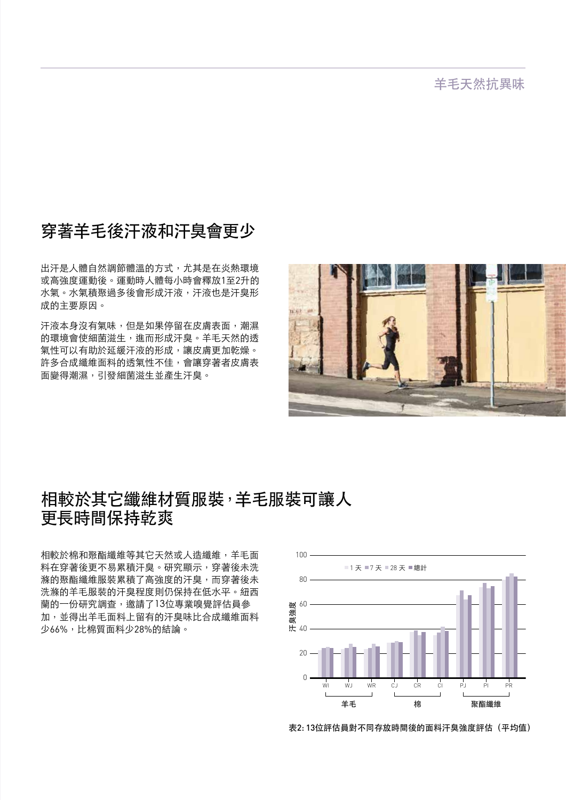羊毛天然抗異味

#### 穿著羊毛後汗液和汗臭會更少

出汗是人體自然調節體溫的方式,尤其是在炎熱環境 或高強度運動後。運動時人體每小時會釋放1至2升的 水氣。水氣積聚過多後會形成汗液,汗液也是汗臭形 成的主要原因。

汗液本身沒有氣味,但是如果停留在皮膚表面,潮濕 的環境會使細菌滋生,進而形成汗臭。羊毛天然的透 氣性可以有助於延緩汗液的形成,讓皮膚更加乾燥。 許多合成纖維面料的透氣性不佳,會讓穿著者皮膚表 面變得潮濕,引發細菌滋生並產生汗臭。



#### 相較於其它纖維材質服裝,羊毛服裝可讓人 更長時間保持乾爽

相較於棉和聚酯纖維等其它天然或人造纖維,羊毛面 料在穿著後更不易累積汗臭。研究顯示,穿著後未洗 滌的聚酯纖維服裝累積了高強度的汗臭,而穿著後未 洗滌的羊毛服裝的汗臭程度則仍保持在低水平。紐西 蘭的一份研究調查,邀請了13位專業嗅覺評估員參 加,並得出羊毛面料上留有的汗臭味比合成纖維面料 少66%,比棉質面料少28%的結論。



表2: 13位評估員對不同存放時間後的面料汗臭強度評估(平均值)